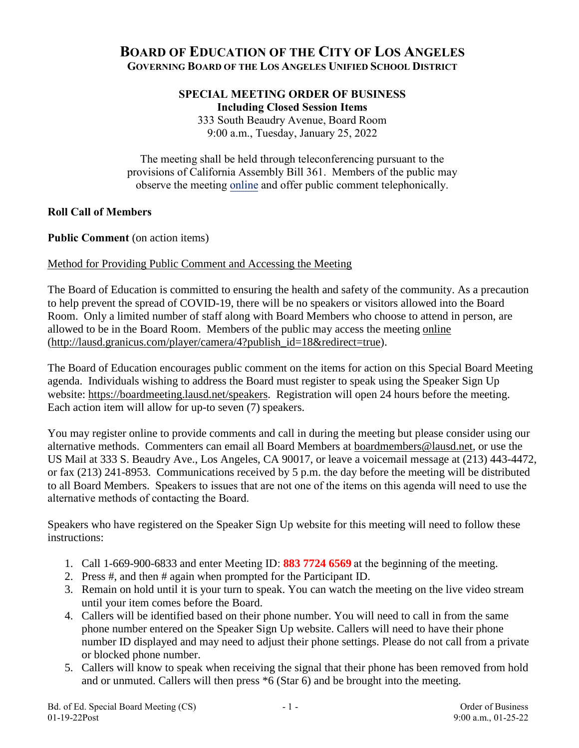# **BOARD OF EDUCATION OF THE CITY OF LOS ANGELES GOVERNING BOARD OF THE LOS ANGELES UNIFIED SCHOOL DISTRICT**

### **SPECIAL MEETING ORDER OF BUSINESS Including Closed Session Items**

333 South Beaudry Avenue, Board Room 9:00 a.m., Tuesday, January 25, 2022

The meeting shall be held through teleconferencing pursuant to the provisions of California Assembly Bill 361. Members of the public may observe the meeting [online](http://lausd.granicus.com/player/camera/4?publish_id=18&redirect=true) and offer public comment telephonically.

# **Roll Call of Members**

Public Comment (on action items)

# Method for Providing Public Comment and Accessing the Meeting

The Board of Education is committed to ensuring the health and safety of the community. As a precaution to help prevent the spread of COVID-19, there will be no speakers or visitors allowed into the Board Room. Only a limited number of staff along with Board Members who choose to attend in person, are allowed to be in the Board Room. Members of the public may access the meeting [online](http://lausd.granicus.com/player/camera/4?publish_id=18&redirect=true) [\(http://lausd.granicus.com/player/camera/4?publish\\_id=18&redirect=true\)](http://lausd.granicus.com/player/camera/4?publish_id=18&redirect=true).

The Board of Education encourages public comment on the items for action on this Special Board Meeting agenda. Individuals wishing to address the Board must register to speak using the Speaker Sign Up website: [https://boardmeeting.lausd.net/speakers.](https://boardmeeting.lausd.net/speakers) Registration will open 24 hours before the meeting. Each action item will allow for up-to seven (7) speakers.

You may register online to provide comments and call in during the meeting but please consider using our alternative methods. Commenters can email all Board Members at [boardmembers@lausd.net,](mailto:boardmembers@lausd.net) or use the US Mail at 333 S. Beaudry Ave., Los Angeles, CA 90017, or leave a voicemail message at (213) 443-4472, or fax (213) 241-8953. Communications received by 5 p.m. the day before the meeting will be distributed to all Board Members. Speakers to issues that are not one of the items on this agenda will need to use the alternative methods of contacting the Board.

Speakers who have registered on the Speaker Sign Up website for this meeting will need to follow these instructions:

- 1. Call 1-669-900-6833 and enter Meeting ID: **883 7724 6569** at the beginning of the meeting.
- 2. Press #, and then # again when prompted for the Participant ID.
- 3. Remain on hold until it is your turn to speak. You can watch the meeting on the live video stream until your item comes before the Board.
- 4. Callers will be identified based on their phone number. You will need to call in from the same phone number entered on the Speaker Sign Up website. Callers will need to have their phone number ID displayed and may need to adjust their phone settings. Please do not call from a private or blocked phone number.
- 5. Callers will know to speak when receiving the signal that their phone has been removed from hold and or unmuted. Callers will then press \*6 (Star 6) and be brought into the meeting.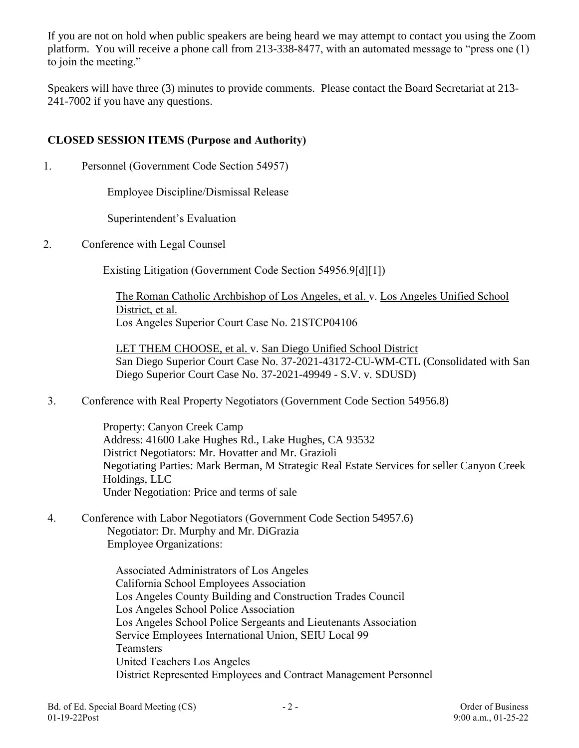If you are not on hold when public speakers are being heard we may attempt to contact you using the Zoom platform. You will receive a phone call from 213-338-8477, with an automated message to "press one (1) to join the meeting."

Speakers will have three (3) minutes to provide comments. Please contact the Board Secretariat at 213- 241-7002 if you have any questions.

# **CLOSED SESSION ITEMS (Purpose and Authority)**

1. Personnel (Government Code Section 54957)

Employee Discipline/Dismissal Release

Superintendent's Evaluation

2. Conference with Legal Counsel

Existing Litigation (Government Code Section 54956.9[d][1])

The Roman Catholic Archbishop of Los Angeles, et al. v. Los Angeles Unified School District, et al. Los Angeles Superior Court Case No. 21STCP04106

LET THEM CHOOSE, et al. v. San Diego Unified School District San Diego Superior Court Case No. 37-2021-43172-CU-WM-CTL (Consolidated with San Diego Superior Court Case No. 37-2021-49949 - S.V. v. SDUSD)

3. Conference with Real Property Negotiators (Government Code Section 54956.8)

Property: Canyon Creek Camp Address: 41600 Lake Hughes Rd., Lake Hughes, CA 93532 District Negotiators: Mr. Hovatter and Mr. Grazioli Negotiating Parties: Mark Berman, M Strategic Real Estate Services for seller Canyon Creek Holdings, LLC Under Negotiation: Price and terms of sale

4. Conference with Labor Negotiators (Government Code Section 54957.6) Negotiator: Dr. Murphy and Mr. DiGrazia Employee Organizations:

> Associated Administrators of Los Angeles California School Employees Association Los Angeles County Building and Construction Trades Council Los Angeles School Police Association Los Angeles School Police Sergeants and Lieutenants Association Service Employees International Union, SEIU Local 99 **Teamsters** United Teachers Los Angeles District Represented Employees and Contract Management Personnel